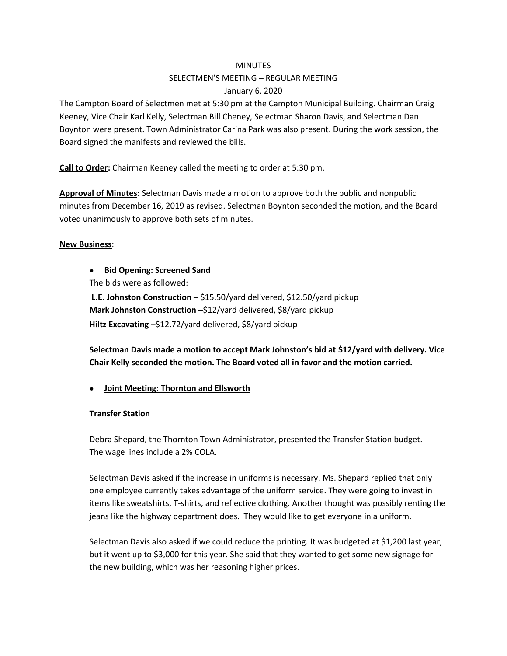#### **MINUTES**

# SELECTMEN'S MEETING – REGULAR MEETING January 6, 2020

The Campton Board of Selectmen met at 5:30 pm at the Campton Municipal Building. Chairman Craig Keeney, Vice Chair Karl Kelly, Selectman Bill Cheney, Selectman Sharon Davis, and Selectman Dan Boynton were present. Town Administrator Carina Park was also present. During the work session, the Board signed the manifests and reviewed the bills.

**Call to Order:** Chairman Keeney called the meeting to order at 5:30 pm.

**Approval of Minutes:** Selectman Davis made a motion to approve both the public and nonpublic minutes from December 16, 2019 as revised. Selectman Boynton seconded the motion, and the Board voted unanimously to approve both sets of minutes.

### **New Business**:

● **Bid Opening: Screened Sand**

The bids were as followed:

**L.E. Johnston Construction** – \$15.50/yard delivered, \$12.50/yard pickup **Mark Johnston Construction** –\$12/yard delivered, \$8/yard pickup **Hiltz Excavating** –\$12.72/yard delivered, \$8/yard pickup

**Selectman Davis made a motion to accept Mark Johnston's bid at \$12/yard with delivery. Vice Chair Kelly seconded the motion. The Board voted all in favor and the motion carried.**

● **Joint Meeting: Thornton and Ellsworth**

### **Transfer Station**

Debra Shepard, the Thornton Town Administrator, presented the Transfer Station budget. The wage lines include a 2% COLA.

Selectman Davis asked if the increase in uniforms is necessary. Ms. Shepard replied that only one employee currently takes advantage of the uniform service. They were going to invest in items like sweatshirts, T-shirts, and reflective clothing. Another thought was possibly renting the jeans like the highway department does. They would like to get everyone in a uniform.

Selectman Davis also asked if we could reduce the printing. It was budgeted at \$1,200 last year, but it went up to \$3,000 for this year. She said that they wanted to get some new signage for the new building, which was her reasoning higher prices.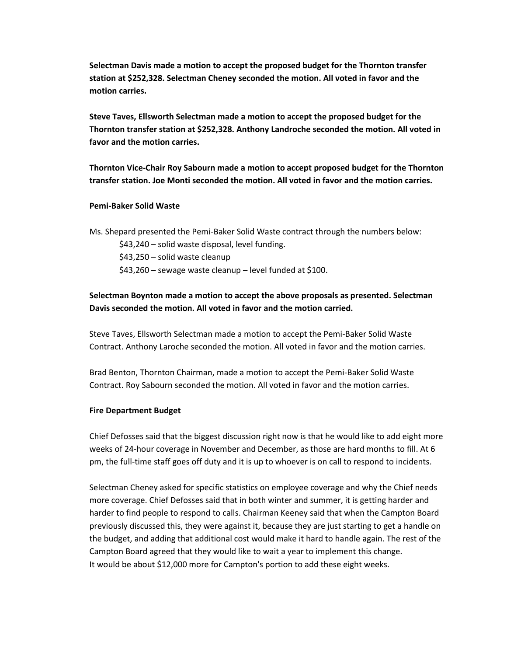**Selectman Davis made a motion to accept the proposed budget for the Thornton transfer station at \$252,328. Selectman Cheney seconded the motion. All voted in favor and the motion carries.**

**Steve Taves, Ellsworth Selectman made a motion to accept the proposed budget for the Thornton transfer station at \$252,328. Anthony Landroche seconded the motion. All voted in favor and the motion carries.**

**Thornton Vice-Chair Roy Sabourn made a motion to accept proposed budget for the Thornton transfer station. Joe Monti seconded the motion. All voted in favor and the motion carries.**

#### **Pemi-Baker Solid Waste**

Ms. Shepard presented the Pemi-Baker Solid Waste contract through the numbers below:

\$43,240 – solid waste disposal, level funding.

\$43,250 – solid waste cleanup

\$43,260 – sewage waste cleanup – level funded at \$100.

# **Selectman Boynton made a motion to accept the above proposals as presented. Selectman Davis seconded the motion. All voted in favor and the motion carried.**

Steve Taves, Ellsworth Selectman made a motion to accept the Pemi-Baker Solid Waste Contract. Anthony Laroche seconded the motion. All voted in favor and the motion carries.

Brad Benton, Thornton Chairman, made a motion to accept the Pemi-Baker Solid Waste Contract. Roy Sabourn seconded the motion. All voted in favor and the motion carries.

#### **Fire Department Budget**

Chief Defosses said that the biggest discussion right now is that he would like to add eight more weeks of 24-hour coverage in November and December, as those are hard months to fill. At 6 pm, the full-time staff goes off duty and it is up to whoever is on call to respond to incidents.

Selectman Cheney asked for specific statistics on employee coverage and why the Chief needs more coverage. Chief Defosses said that in both winter and summer, it is getting harder and harder to find people to respond to calls. Chairman Keeney said that when the Campton Board previously discussed this, they were against it, because they are just starting to get a handle on the budget, and adding that additional cost would make it hard to handle again. The rest of the Campton Board agreed that they would like to wait a year to implement this change. It would be about \$12,000 more for Campton's portion to add these eight weeks.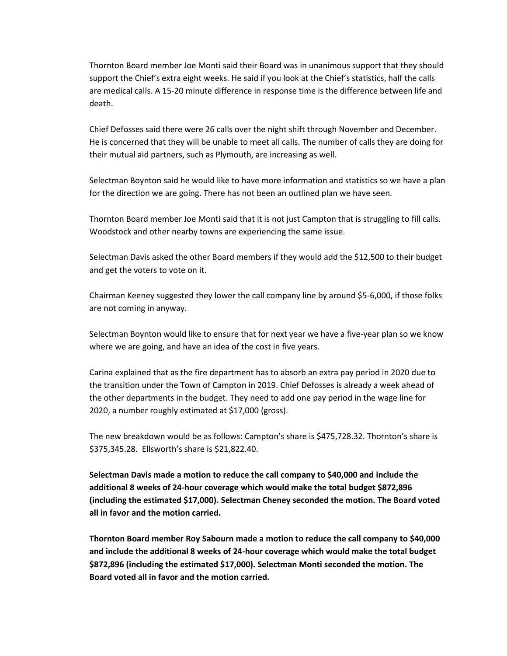Thornton Board member Joe Monti said their Board was in unanimous support that they should support the Chief's extra eight weeks. He said if you look at the Chief's statistics, half the calls are medical calls. A 15-20 minute difference in response time is the difference between life and death.

Chief Defosses said there were 26 calls over the night shift through November and December. He is concerned that they will be unable to meet all calls. The number of calls they are doing for their mutual aid partners, such as Plymouth, are increasing as well.

Selectman Boynton said he would like to have more information and statistics so we have a plan for the direction we are going. There has not been an outlined plan we have seen.

Thornton Board member Joe Monti said that it is not just Campton that is struggling to fill calls. Woodstock and other nearby towns are experiencing the same issue.

Selectman Davis asked the other Board members if they would add the \$12,500 to their budget and get the voters to vote on it.

Chairman Keeney suggested they lower the call company line by around \$5-6,000, if those folks are not coming in anyway.

Selectman Boynton would like to ensure that for next year we have a five-year plan so we know where we are going, and have an idea of the cost in five years.

Carina explained that as the fire department has to absorb an extra pay period in 2020 due to the transition under the Town of Campton in 2019. Chief Defosses is already a week ahead of the other departments in the budget. They need to add one pay period in the wage line for 2020, a number roughly estimated at \$17,000 (gross).

The new breakdown would be as follows: Campton's share is \$475,728.32. Thornton's share is \$375,345.28. Ellsworth's share is \$21,822.40.

**Selectman Davis made a motion to reduce the call company to \$40,000 and include the additional 8 weeks of 24-hour coverage which would make the total budget \$872,896 (including the estimated \$17,000). Selectman Cheney seconded the motion. The Board voted all in favor and the motion carried.**

**Thornton Board member Roy Sabourn made a motion to reduce the call company to \$40,000 and include the additional 8 weeks of 24-hour coverage which would make the total budget \$872,896 (including the estimated \$17,000). Selectman Monti seconded the motion. The Board voted all in favor and the motion carried.**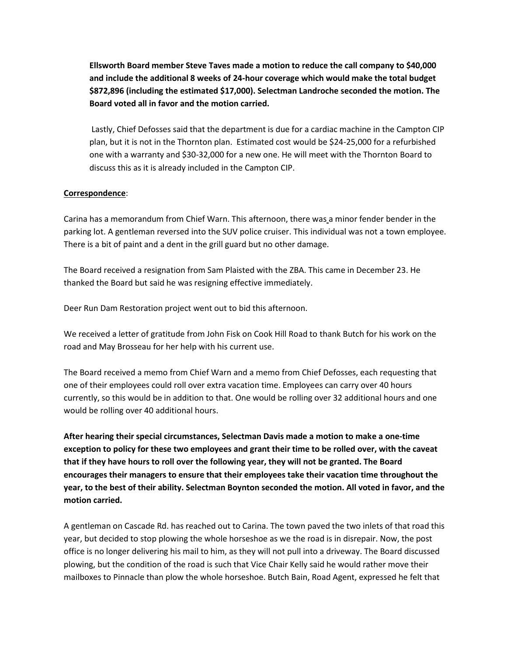**Ellsworth Board member Steve Taves made a motion to reduce the call company to \$40,000 and include the additional 8 weeks of 24-hour coverage which would make the total budget \$872,896 (including the estimated \$17,000). Selectman Landroche seconded the motion. The Board voted all in favor and the motion carried.**

Lastly, Chief Defosses said that the department is due for a cardiac machine in the Campton CIP plan, but it is not in the Thornton plan. Estimated cost would be \$24-25,000 for a refurbished one with a warranty and \$30-32,000 for a new one. He will meet with the Thornton Board to discuss this as it is already included in the Campton CIP.

### **Correspondence**:

Carina has a memorandum from Chief Warn. This afternoon, there was a minor fender bender in the parking lot. A gentleman reversed into the SUV police cruiser. This individual was not a town employee. There is a bit of paint and a dent in the grill guard but no other damage.

The Board received a resignation from Sam Plaisted with the ZBA. This came in December 23. He thanked the Board but said he was resigning effective immediately.

Deer Run Dam Restoration project went out to bid this afternoon.

We received a letter of gratitude from John Fisk on Cook Hill Road to thank Butch for his work on the road and May Brosseau for her help with his current use.

The Board received a memo from Chief Warn and a memo from Chief Defosses, each requesting that one of their employees could roll over extra vacation time. Employees can carry over 40 hours currently, so this would be in addition to that. One would be rolling over 32 additional hours and one would be rolling over 40 additional hours.

**After hearing their special circumstances, Selectman Davis made a motion to make a one-time exception to policy for these two employees and grant their time to be rolled over, with the caveat that if they have hours to roll over the following year, they will not be granted. The Board encourages their managers to ensure that their employees take their vacation time throughout the year, to the best of their ability. Selectman Boynton seconded the motion. All voted in favor, and the motion carried.**

A gentleman on Cascade Rd. has reached out to Carina. The town paved the two inlets of that road this year, but decided to stop plowing the whole horseshoe as we the road is in disrepair. Now, the post office is no longer delivering his mail to him, as they will not pull into a driveway. The Board discussed plowing, but the condition of the road is such that Vice Chair Kelly said he would rather move their mailboxes to Pinnacle than plow the whole horseshoe. Butch Bain, Road Agent, expressed he felt that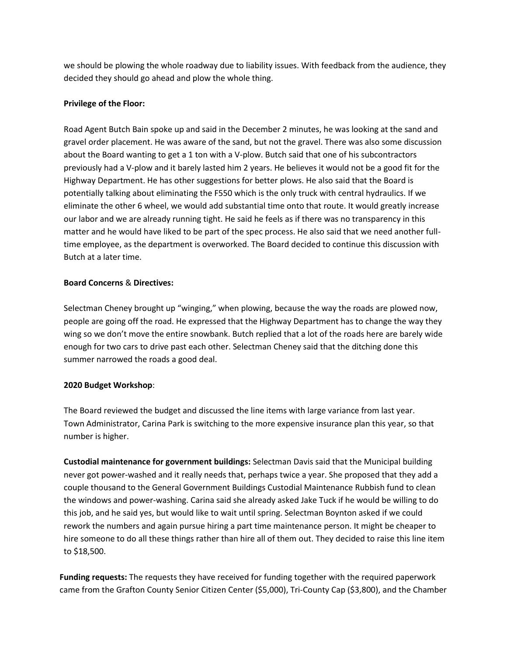we should be plowing the whole roadway due to liability issues. With feedback from the audience, they decided they should go ahead and plow the whole thing.

### **Privilege of the Floor:**

Road Agent Butch Bain spoke up and said in the December 2 minutes, he was looking at the sand and gravel order placement. He was aware of the sand, but not the gravel. There was also some discussion about the Board wanting to get a 1 ton with a V-plow. Butch said that one of his subcontractors previously had a V-plow and it barely lasted him 2 years. He believes it would not be a good fit for the Highway Department. He has other suggestions for better plows. He also said that the Board is potentially talking about eliminating the F550 which is the only truck with central hydraulics. If we eliminate the other 6 wheel, we would add substantial time onto that route. It would greatly increase our labor and we are already running tight. He said he feels as if there was no transparency in this matter and he would have liked to be part of the spec process. He also said that we need another fulltime employee, as the department is overworked. The Board decided to continue this discussion with Butch at a later time.

## **Board Concerns** & **Directives:**

Selectman Cheney brought up "winging," when plowing, because the way the roads are plowed now, people are going off the road. He expressed that the Highway Department has to change the way they wing so we don't move the entire snowbank. Butch replied that a lot of the roads here are barely wide enough for two cars to drive past each other. Selectman Cheney said that the ditching done this summer narrowed the roads a good deal.

# **2020 Budget Workshop**:

The Board reviewed the budget and discussed the line items with large variance from last year. Town Administrator, Carina Park is switching to the more expensive insurance plan this year, so that number is higher.

**Custodial maintenance for government buildings:** Selectman Davis said that the Municipal building never got power-washed and it really needs that, perhaps twice a year. She proposed that they add a couple thousand to the General Government Buildings Custodial Maintenance Rubbish fund to clean the windows and power-washing. Carina said she already asked Jake Tuck if he would be willing to do this job, and he said yes, but would like to wait until spring. Selectman Boynton asked if we could rework the numbers and again pursue hiring a part time maintenance person. It might be cheaper to hire someone to do all these things rather than hire all of them out. They decided to raise this line item to \$18,500.

**Funding requests:** The requests they have received for funding together with the required paperwork came from the Grafton County Senior Citizen Center (\$5,000), Tri-County Cap (\$3,800), and the Chamber